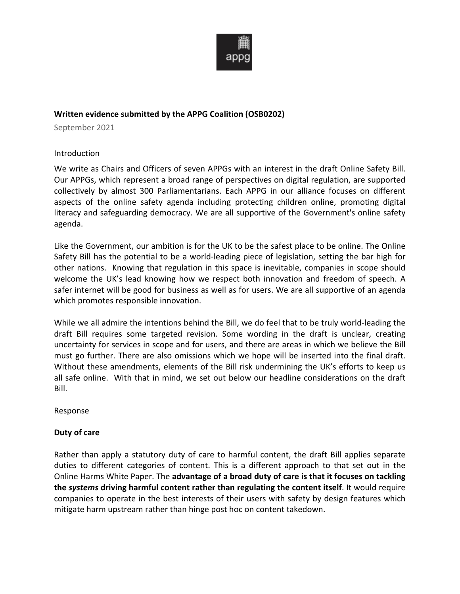

## **Written evidence submitted by the APPG Coalition (OSB0202)**

September 2021

### Introduction

We write as Chairs and Officers of seven APPGs with an interest in the draft Online Safety Bill. Our APPGs, which represent a broad range of perspectives on digital regulation, are supported collectively by almost 300 Parliamentarians. Each APPG in our alliance focuses on different aspects of the online safety agenda including protecting children online, promoting digital literacy and safeguarding democracy. We are all supportive of the Government's online safety agenda.

Like the Government, our ambition is for the UK to be the safest place to be online. The Online Safety Bill has the potential to be a world-leading piece of legislation, setting the bar high for other nations. Knowing that regulation in this space is inevitable, companies in scope should welcome the UK's lead knowing how we respect both innovation and freedom of speech. A safer internet will be good for business as well as for users. We are all supportive of an agenda which promotes responsible innovation.

While we all admire the intentions behind the Bill, we do feel that to be truly world-leading the draft Bill requires some targeted revision. Some wording in the draft is unclear, creating uncertainty for services in scope and for users, and there are areas in which we believe the Bill must go further. There are also omissions which we hope will be inserted into the final draft. Without these amendments, elements of the Bill risk undermining the UK's efforts to keep us all safe online. With that in mind, we set out below our headline considerations on the draft Bill.

Response

### **Duty of care**

Rather than apply a statutory duty of care to harmful content, the draft Bill applies separate duties to different categories of content. This is a different approach to that set out in the Online Harms White Paper. The **advantage of a broad duty of care is that it focuses on tackling the** *systems* **driving harmful content rather than regulating the content itself**. It would require companies to operate in the best interests of their users with safety by design features which mitigate harm upstream rather than hinge post hoc on content takedown.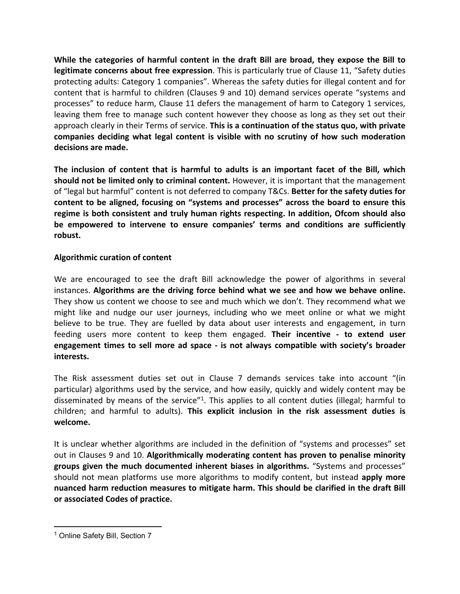**While the categories of harmful content in the draft Bill are broad, they expose the Bill to legitimate concerns about free expression**. This is particularly true of Clause 11, "Safety duties protecting adults: Category 1 companies". Whereas the safety duties for illegal content and for content that is harmful to children (Clauses 9 and 10) demand services operate "systems and processes" to reduce harm, Clause 11 defers the management of harm to Category 1 services, leaving them free to manage such content however they choose as long as they set out their approach clearly in their Terms of service. **This is a continuation of the status quo, with private companies deciding what legal content is visible with no scrutiny of how such moderation decisions are made.** 

**The inclusion of content that is harmful to adults is an important facet of the Bill, which should not be limited only to criminal content.** However, it is important that the management of "legal but harmful" content is not deferred to company T&Cs. **Better for the safety duties for content to be aligned, focusing on "systems and processes" across the board to ensure this regime is both consistent and truly human rights respecting. In addition, Ofcom should also be empowered to intervene to ensure companies' terms and conditions are sufficiently robust.**

## **Algorithmic curation of content**

We are encouraged to see the draft Bill acknowledge the power of algorithms in several instances. **Algorithms are the driving force behind what we see and how we behave online.** They show us content we choose to see and much which we don't. They recommend what we might like and nudge our user journeys, including who we meet online or what we might believe to be true. They are fuelled by data about user interests and engagement, in turn feeding users more content to keep them engaged. **Their incentive - to extend user engagement times to sell more ad space - is not always compatible with society's broader interests.**

The Risk assessment duties set out in Clause 7 demands services take into account "(in particular) algorithms used by the service, and how easily, quickly and widely content may be disseminated by means of the service"<sup>1</sup>. This applies to all content duties (illegal; harmful to children; and harmful to adults). **This explicit inclusion in the risk assessment duties is welcome.**

It is unclear whether algorithms are included in the definition of "systems and processes" set out in Clauses 9 and 10. **Algorithmically moderating content has proven to penalise minority groups given the much documented inherent biases in algorithms.** "Systems and processes" should not mean platforms use more algorithms to modify content, but instead **apply more nuanced harm reduction measures to mitigate harm. This should be clarified in the draft Bill or associated Codes of practice.**

<sup>&</sup>lt;sup>1</sup> Online Safety Bill, Section 7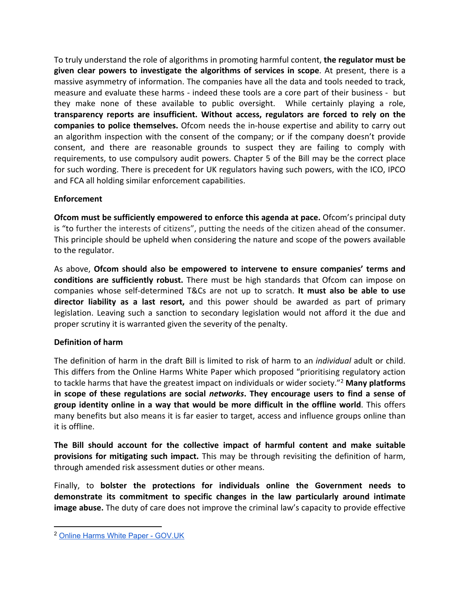To truly understand the role of algorithms in promoting harmful content, **the regulator must be given clear powers to investigate the algorithms of services in scope**. At present, there is a massive asymmetry of information. The companies have all the data and tools needed to track, measure and evaluate these harms - indeed these tools are a core part of their business - but they make none of these available to public oversight. While certainly playing a role, **transparency reports are insufficient. Without access, regulators are forced to rely on the companies to police themselves.** Ofcom needs the in-house expertise and ability to carry out an algorithm inspection with the consent of the company; or if the company doesn't provide consent, and there are reasonable grounds to suspect they are failing to comply with requirements, to use compulsory audit powers. Chapter 5 of the Bill may be the correct place for such wording. There is precedent for UK regulators having such powers, with the ICO, IPCO and FCA all holding similar enforcement capabilities.

## **Enforcement**

**Ofcom must be sufficiently empowered to enforce this agenda at pace.** Ofcom's principal duty is "to further the interests of citizens", putting the needs of the citizen ahead of the consumer. This principle should be upheld when considering the nature and scope of the powers available to the regulator.

As above, **Ofcom should also be empowered to intervene to ensure companies' terms and conditions are sufficiently robust.** There must be high standards that Ofcom can impose on companies whose self-determined T&Cs are not up to scratch. **It must also be able to use director liability as a last resort,** and this power should be awarded as part of primary legislation. Leaving such a sanction to secondary legislation would not afford it the due and proper scrutiny it is warranted given the severity of the penalty.

# **Definition of harm**

The definition of harm in the draft Bill is limited to risk of harm to an *individual* adult or child. This differs from the Online Harms White Paper which proposed "prioritising regulatory action to tackle harms that have the greatest impact on individuals or wider society."<sup>2</sup> **Many platforms in scope of these regulations are social** *networks***. They encourage users to find a sense of group identity online in a way that would be more difficult in the offline world**. This offers many benefits but also means it is far easier to target, access and influence groups online than it is offline.

**The Bill should account for the collective impact of harmful content and make suitable provisions for mitigating such impact.** This may be through revisiting the definition of harm, through amended risk assessment duties or other means.

Finally, to **bolster the protections for individuals online the Government needs to demonstrate its commitment to specific changes in the law particularly around intimate image abuse.** The duty of care does not improve the criminal law's capacity to provide effective

<sup>2</sup> [Online](https://www.gov.uk/government/consultations/online-harms-white-paper/online-harms-white-paper) [Harms](https://www.gov.uk/government/consultations/online-harms-white-paper/online-harms-white-paper) [White](https://www.gov.uk/government/consultations/online-harms-white-paper/online-harms-white-paper) [Paper](https://www.gov.uk/government/consultations/online-harms-white-paper/online-harms-white-paper) [-](https://www.gov.uk/government/consultations/online-harms-white-paper/online-harms-white-paper) [GOV.UK](https://www.gov.uk/government/consultations/online-harms-white-paper/online-harms-white-paper)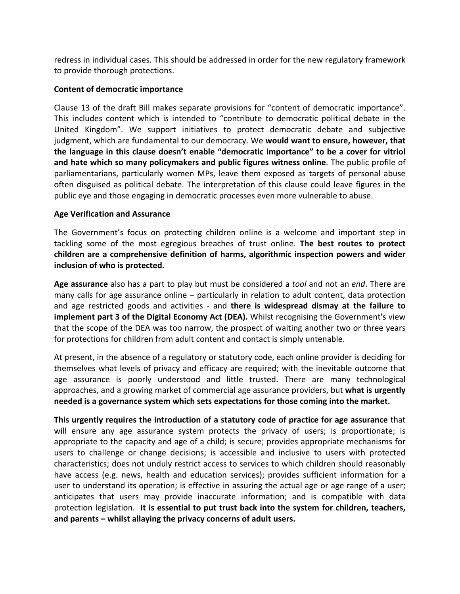redress in individual cases. This should be addressed in order for the new regulatory framework to provide thorough protections.

## **Content of democratic importance**

Clause 13 of the draft Bill makes separate provisions for "content of democratic importance". This includes content which is intended to "contribute to democratic political debate in the United Kingdom". We support initiatives to protect democratic debate and subjective judgment, which are fundamental to our democracy. We **would want to ensure, however, that the language in this clause doesn't enable "democratic importance" to be a cover for vitriol and hate which so many policymakers and public figures witness online**. The public profile of parliamentarians, particularly women MPs, leave them exposed as targets of personal abuse often disguised as political debate. The interpretation of this clause could leave figures in the public eye and those engaging in democratic processes even more vulnerable to abuse.

## **Age Verification and Assurance**

The Government's focus on protecting children online is a welcome and important step in tackling some of the most egregious breaches of trust online. **The best routes to protect children are a comprehensive definition of harms, algorithmic inspection powers and wider inclusion of who is protected.**

**Age assurance** also has a part to play but must be considered a *tool* and not an *end*. There are many calls for age assurance online – particularly in relation to adult content, data protection and age restricted goods and activities - and **there is widespread dismay at the failure to implement part 3 of the Digital Economy Act (DEA).** Whilst recognising the Government's view that the scope of the DEA was too narrow, the prospect of waiting another two or three years for protections for children from adult content and contact is simply untenable.

At present, in the absence of a regulatory or statutory code, each online provider is deciding for themselves what levels of privacy and efficacy are required; with the inevitable outcome that age assurance is poorly understood and little trusted. There are many technological approaches, and a growing market of commercial age assurance providers, but **what is urgently needed is a governance system which sets expectations for those coming into the market.** 

**This urgently requires the introduction of a statutory code of practice for age assurance** that will ensure any age assurance system protects the privacy of users; is proportionate; is appropriate to the capacity and age of a child; is secure; provides appropriate mechanisms for users to challenge or change decisions; is accessible and inclusive to users with protected characteristics; does not unduly restrict access to services to which children should reasonably have access (e.g. news, health and education services); provides sufficient information for a user to understand its operation; is effective in assuring the actual age or age range of a user; anticipates that users may provide inaccurate information; and is compatible with data protection legislation. **It is essential to put trust back into the system for children, teachers, and parents – whilst allaying the privacy concerns of adult users.**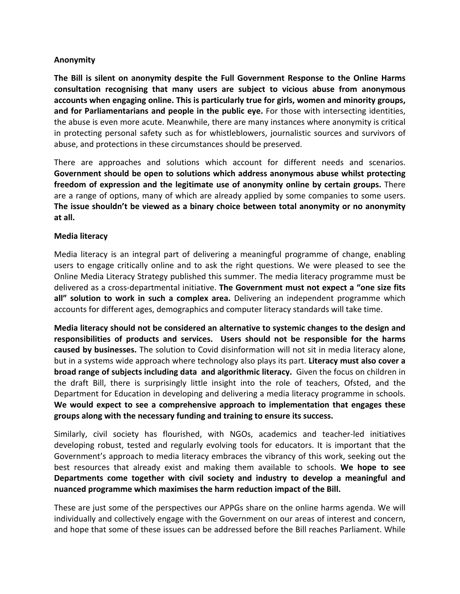### **Anonymity**

**The Bill is silent on anonymity despite the Full Government Response to the Online Harms consultation recognising that many users are subject to vicious abuse from anonymous accounts when engaging online. This is particularly true for girls, women and minority groups, and for Parliamentarians and people in the public eye.** For those with intersecting identities, the abuse is even more acute. Meanwhile, there are many instances where anonymity is critical in protecting personal safety such as for whistleblowers, journalistic sources and survivors of abuse, and protections in these circumstances should be preserved.

There are approaches and solutions which account for different needs and scenarios. **Government should be open to solutions which address anonymous abuse whilst protecting freedom of expression and the legitimate use of anonymity online by certain groups.** There are a range of options, many of which are already applied by some companies to some users. **The issue shouldn't be viewed as a binary choice between total anonymity or no anonymity at all.**

#### **Media literacy**

Media literacy is an integral part of delivering a meaningful programme of change, enabling users to engage critically online and to ask the right questions. We were pleased to see the Online Media Literacy Strategy published this summer. The media literacy programme must be delivered as a cross-departmental initiative. **The Government must not expect a "one size fits all" solution to work in such a complex area.** Delivering an independent programme which accounts for different ages, demographics and computer literacy standards will take time.

**Media literacy should not be considered an alternative to systemic changes to the design and responsibilities of products and services. Users should not be responsible for the harms caused by businesses.** The solution to Covid disinformation will not sit in media literacy alone, but in a systems wide approach where technology also plays its part. **Literacy must also cover a broad range of subjects including data and algorithmic literacy.** Given the focus on children in the draft Bill, there is surprisingly little insight into the role of teachers, Ofsted, and the Department for Education in developing and delivering a media literacy programme in schools. **We would expect to see a comprehensive approach to implementation that engages these groups along with the necessary funding and training to ensure its success.**

Similarly, civil society has flourished, with NGOs, academics and teacher-led initiatives developing robust, tested and regularly evolving tools for educators. It is important that the Government's approach to media literacy embraces the vibrancy of this work, seeking out the best resources that already exist and making them available to schools. **We hope to see Departments come together with civil society and industry to develop a meaningful and nuanced programme which maximises the harm reduction impact of the Bill.**

These are just some of the perspectives our APPGs share on the online harms agenda. We will individually and collectively engage with the Government on our areas of interest and concern, and hope that some of these issues can be addressed before the Bill reaches Parliament. While